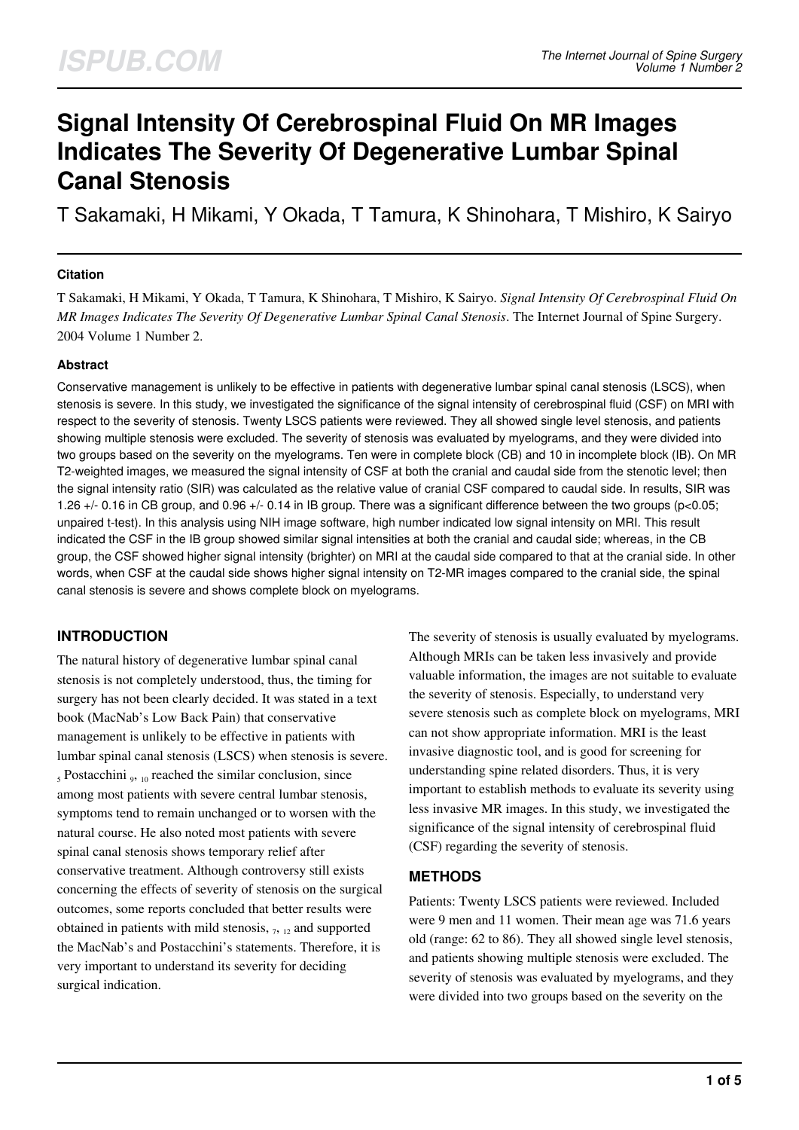# **Signal Intensity Of Cerebrospinal Fluid On MR Images Indicates The Severity Of Degenerative Lumbar Spinal Canal Stenosis**

T Sakamaki, H Mikami, Y Okada, T Tamura, K Shinohara, T Mishiro, K Sairyo

### **Citation**

T Sakamaki, H Mikami, Y Okada, T Tamura, K Shinohara, T Mishiro, K Sairyo. *Signal Intensity Of Cerebrospinal Fluid On MR Images Indicates The Severity Of Degenerative Lumbar Spinal Canal Stenosis*. The Internet Journal of Spine Surgery. 2004 Volume 1 Number 2.

### **Abstract**

Conservative management is unlikely to be effective in patients with degenerative lumbar spinal canal stenosis (LSCS), when stenosis is severe. In this study, we investigated the significance of the signal intensity of cerebrospinal fluid (CSF) on MRI with respect to the severity of stenosis. Twenty LSCS patients were reviewed. They all showed single level stenosis, and patients showing multiple stenosis were excluded. The severity of stenosis was evaluated by myelograms, and they were divided into two groups based on the severity on the myelograms. Ten were in complete block (CB) and 10 in incomplete block (IB). On MR T2-weighted images, we measured the signal intensity of CSF at both the cranial and caudal side from the stenotic level; then the signal intensity ratio (SIR) was calculated as the relative value of cranial CSF compared to caudal side. In results, SIR was 1.26 +/- 0.16 in CB group, and 0.96 +/- 0.14 in IB group. There was a significant difference between the two groups (p<0.05; unpaired t-test). In this analysis using NIH image software, high number indicated low signal intensity on MRI. This result indicated the CSF in the IB group showed similar signal intensities at both the cranial and caudal side; whereas, in the CB group, the CSF showed higher signal intensity (brighter) on MRI at the caudal side compared to that at the cranial side. In other words, when CSF at the caudal side shows higher signal intensity on T2-MR images compared to the cranial side, the spinal canal stenosis is severe and shows complete block on myelograms.

## **INTRODUCTION**

The natural history of degenerative lumbar spinal canal stenosis is not completely understood, thus, the timing for surgery has not been clearly decided. It was stated in a text book (MacNab's Low Back Pain) that conservative management is unlikely to be effective in patients with lumbar spinal canal stenosis (LSCS) when stenosis is severe.  $<sub>5</sub>$  Postacchini  $<sub>9</sub>$ , <sub>10</sub> reached the similar conclusion, since</sub></sub> among most patients with severe central lumbar stenosis, symptoms tend to remain unchanged or to worsen with the natural course. He also noted most patients with severe spinal canal stenosis shows temporary relief after conservative treatment. Although controversy still exists concerning the effects of severity of stenosis on the surgical outcomes, some reports concluded that better results were obtained in patients with mild stenosis,  $_7$ ,  $_{12}$  and supported the MacNab's and Postacchini's statements. Therefore, it is very important to understand its severity for deciding surgical indication.

The severity of stenosis is usually evaluated by myelograms. Although MRIs can be taken less invasively and provide valuable information, the images are not suitable to evaluate the severity of stenosis. Especially, to understand very severe stenosis such as complete block on myelograms, MRI can not show appropriate information. MRI is the least invasive diagnostic tool, and is good for screening for understanding spine related disorders. Thus, it is very important to establish methods to evaluate its severity using less invasive MR images. In this study, we investigated the significance of the signal intensity of cerebrospinal fluid (CSF) regarding the severity of stenosis.

### **METHODS**

Patients: Twenty LSCS patients were reviewed. Included were 9 men and 11 women. Their mean age was 71.6 years old (range: 62 to 86). They all showed single level stenosis, and patients showing multiple stenosis were excluded. The severity of stenosis was evaluated by myelograms, and they were divided into two groups based on the severity on the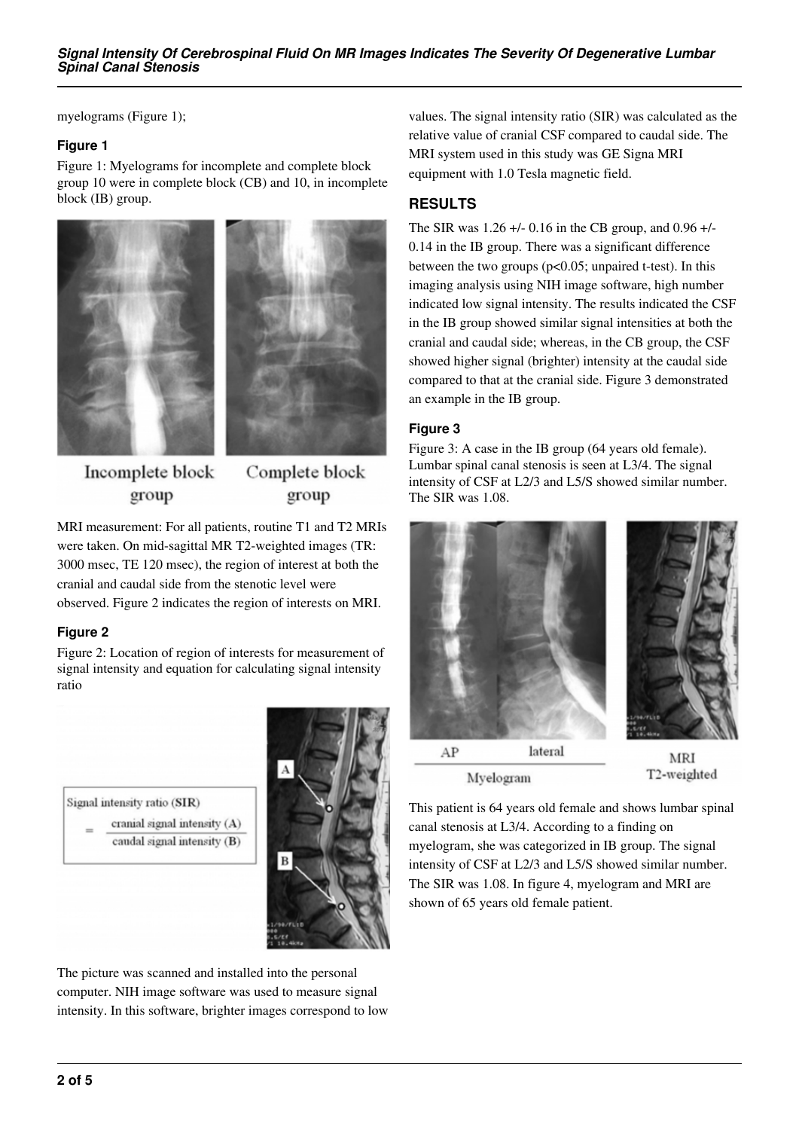myelograms (Figure 1);

### **Figure 1**

Figure 1: Myelograms for incomplete and complete block group 10 were in complete block (CB) and 10, in incomplete block (IB) group.





Incomplete block group

Complete block group

MRI measurement: For all patients, routine T1 and T2 MRIs were taken. On mid-sagittal MR T2-weighted images (TR: 3000 msec, TE 120 msec), the region of interest at both the cranial and caudal side from the stenotic level were observed. Figure 2 indicates the region of interests on MRI.

### **Figure 2**

Figure 2: Location of region of interests for measurement of signal intensity and equation for calculating signal intensity ratio



The picture was scanned and installed into the personal computer. NIH image software was used to measure signal intensity. In this software, brighter images correspond to low values. The signal intensity ratio (SIR) was calculated as the relative value of cranial CSF compared to caudal side. The MRI system used in this study was GE Signa MRI equipment with 1.0 Tesla magnetic field.

# **RESULTS**

The SIR was 1.26 +/- 0.16 in the CB group, and 0.96 +/- 0.14 in the IB group. There was a significant difference between the two groups (p<0.05; unpaired t-test). In this imaging analysis using NIH image software, high number indicated low signal intensity. The results indicated the CSF in the IB group showed similar signal intensities at both the cranial and caudal side; whereas, in the CB group, the CSF showed higher signal (brighter) intensity at the caudal side compared to that at the cranial side. Figure 3 demonstrated an example in the IB group.

### **Figure 3**

Figure 3: A case in the IB group (64 years old female). Lumbar spinal canal stenosis is seen at L3/4. The signal intensity of CSF at L2/3 and L5/S showed similar number. The SIR was 1.08.



Myelogram

T2-weighted

This patient is 64 years old female and shows lumbar spinal canal stenosis at L3/4. According to a finding on myelogram, she was categorized in IB group. The signal intensity of CSF at L2/3 and L5/S showed similar number. The SIR was 1.08. In figure 4, myelogram and MRI are shown of 65 years old female patient.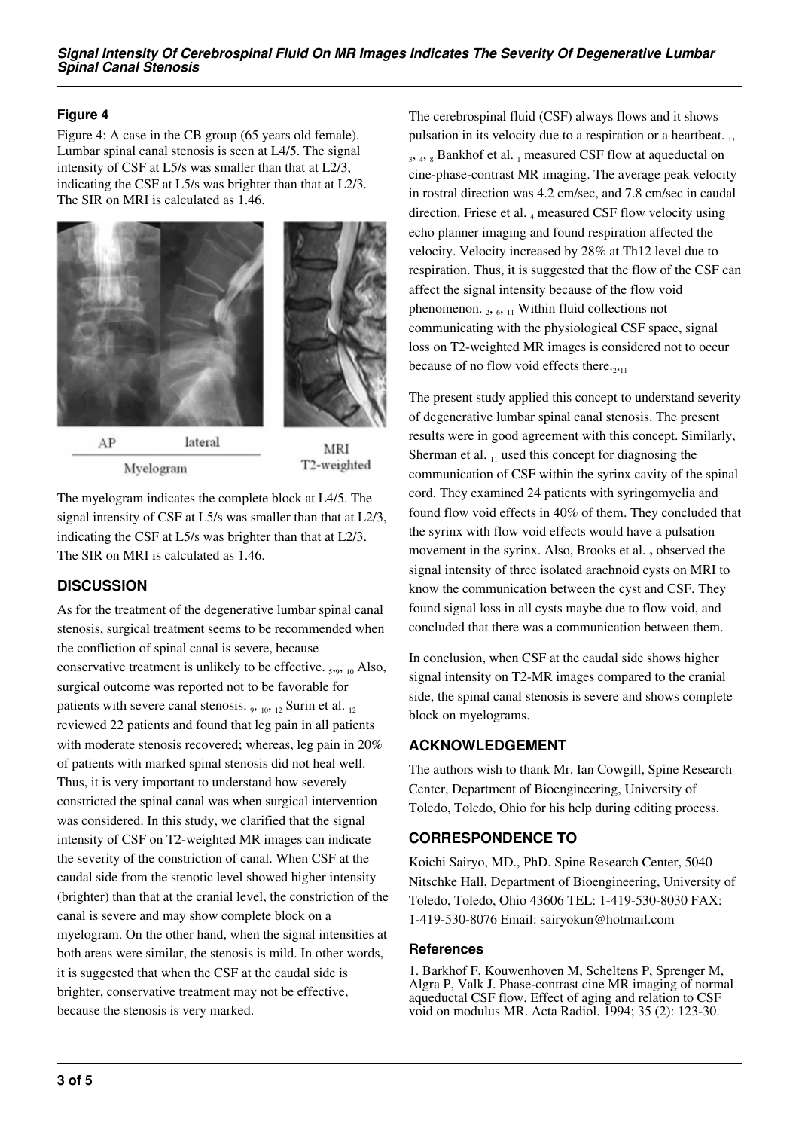### **Figure 4**

Figure 4: A case in the CB group (65 years old female). Lumbar spinal canal stenosis is seen at L4/5. The signal intensity of CSF at L5/s was smaller than that at L2/3, indicating the CSF at L5/s was brighter than that at L2/3. The SIR on MRI is calculated as 1.46.





AP lateral Myelogram

MRI T2-weighted

The myelogram indicates the complete block at L4/5. The signal intensity of CSF at L5/s was smaller than that at L2/3, indicating the CSF at L5/s was brighter than that at L2/3. The SIR on MRI is calculated as 1.46.

# **DISCUSSION**

As for the treatment of the degenerative lumbar spinal canal stenosis, surgical treatment seems to be recommended when the confliction of spinal canal is severe, because conservative treatment is unlikely to be effective.  $_{5.9,10}$  Also, surgical outcome was reported not to be favorable for patients with severe canal stenosis.  $_9$ ,  $_{10}$ ,  $_{12}$  Surin et al.  $_{12}$ reviewed 22 patients and found that leg pain in all patients with moderate stenosis recovered; whereas, leg pain in 20% of patients with marked spinal stenosis did not heal well. Thus, it is very important to understand how severely constricted the spinal canal was when surgical intervention was considered. In this study, we clarified that the signal intensity of CSF on T2-weighted MR images can indicate the severity of the constriction of canal. When CSF at the caudal side from the stenotic level showed higher intensity (brighter) than that at the cranial level, the constriction of the canal is severe and may show complete block on a myelogram. On the other hand, when the signal intensities at both areas were similar, the stenosis is mild. In other words, it is suggested that when the CSF at the caudal side is brighter, conservative treatment may not be effective, because the stenosis is very marked.

The cerebrospinal fluid (CSF) always flows and it shows pulsation in its velocity due to a respiration or a heartbeat. 1, 3, 4, 8 Bankhof et al. 1 measured CSF flow at aqueductal on cine-phase-contrast MR imaging. The average peak velocity in rostral direction was 4.2 cm/sec, and 7.8 cm/sec in caudal direction. Friese et al. 4 measured CSF flow velocity using echo planner imaging and found respiration affected the velocity. Velocity increased by 28% at Th12 level due to respiration. Thus, it is suggested that the flow of the CSF can affect the signal intensity because of the flow void phenomenon.  $_2$ ,  $_6$ ,  $_{11}$  Within fluid collections not communicating with the physiological CSF space, signal loss on T2-weighted MR images is considered not to occur because of no flow void effects there. $_{2211}$ 

The present study applied this concept to understand severity of degenerative lumbar spinal canal stenosis. The present results were in good agreement with this concept. Similarly, Sherman et al.  $_{11}$  used this concept for diagnosing the communication of CSF within the syrinx cavity of the spinal cord. They examined 24 patients with syringomyelia and found flow void effects in 40% of them. They concluded that the syrinx with flow void effects would have a pulsation movement in the syrinx. Also, Brooks et al.  $_2$  observed the signal intensity of three isolated arachnoid cysts on MRI to know the communication between the cyst and CSF. They found signal loss in all cysts maybe due to flow void, and concluded that there was a communication between them.

In conclusion, when CSF at the caudal side shows higher signal intensity on T2-MR images compared to the cranial side, the spinal canal stenosis is severe and shows complete block on myelograms.

# **ACKNOWLEDGEMENT**

The authors wish to thank Mr. Ian Cowgill, Spine Research Center, Department of Bioengineering, University of Toledo, Toledo, Ohio for his help during editing process.

# **CORRESPONDENCE TO**

Koichi Sairyo, MD., PhD. Spine Research Center, 5040 Nitschke Hall, Department of Bioengineering, University of Toledo, Toledo, Ohio 43606 TEL: 1-419-530-8030 FAX: 1-419-530-8076 Email: sairyokun@hotmail.com

## **References**

1. Barkhof F, Kouwenhoven M, Scheltens P, Sprenger M, Algra P, Valk J. Phase-contrast cine MR imaging of normal aqueductal CSF flow. Effect of aging and relation to CSF void on modulus MR. Acta Radiol. 1994; 35 (2): 123-30.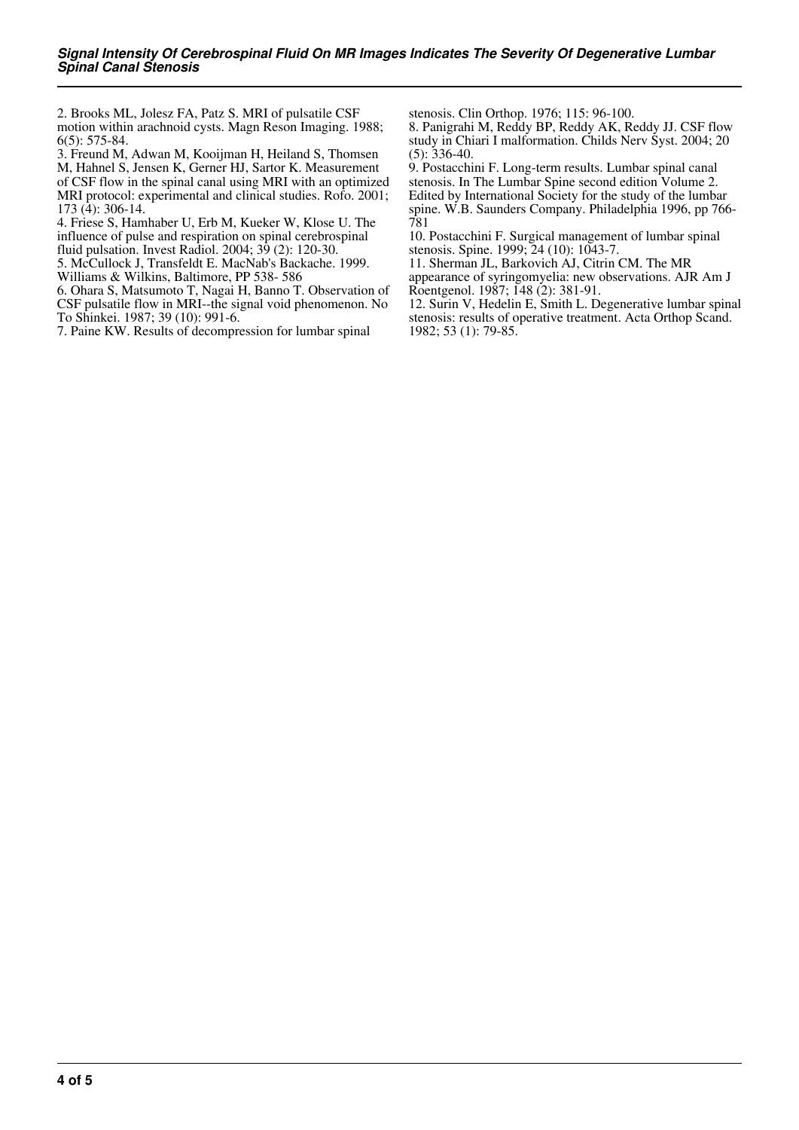2. Brooks ML, Jolesz FA, Patz S. MRI of pulsatile CSF motion within arachnoid cysts. Magn Reson Imaging. 1988; 6(5): 575-84.

3. Freund M, Adwan M, Kooijman H, Heiland S, Thomsen

M, Hahnel S, Jensen K, Gerner HJ, Sartor K. Measurement of CSF flow in the spinal canal using MRI with an optimized MRI protocol: experimental and clinical studies. Rofo. 2001; 173 (4): 306-14.

4. Friese S, Hamhaber U, Erb M, Kueker W, Klose U. The influence of pulse and respiration on spinal cerebrospinal fluid pulsation. Invest Radiol. 2004; 39 (2): 120-30.

5. McCullock J, Transfeldt E. MacNab's Backache. 1999. Williams & Wilkins, Baltimore, PP 538- 586

6. Ohara S, Matsumoto T, Nagai H, Banno T. Observation of CSF pulsatile flow in MRI--the signal void phenomenon. No To Shinkei. 1987; 39 (10): 991-6.

7. Paine KW. Results of decompression for lumbar spinal

stenosis. Clin Orthop. 1976; 115: 96-100.

8. Panigrahi M, Reddy BP, Reddy AK, Reddy JJ. CSF flow study in Chiari I malformation. Childs Nerv Syst. 2004; 20  $(5)$ : 336-40.

9. Postacchini F. Long-term results. Lumbar spinal canal stenosis. In The Lumbar Spine second edition Volume 2. Edited by International Society for the study of the lumbar spine. W.B. Saunders Company. Philadelphia 1996, pp 766- 781

10. Postacchini F. Surgical management of lumbar spinal stenosis. Spine. 1999; 24 (10): 1043-7.

11. Sherman JL, Barkovich AJ, Citrin CM. The MR

appearance of syringomyelia: new observations. AJR Am J Roentgenol. 1987; 148 (2): 381-91.

12. Surin V, Hedelin E, Smith L. Degenerative lumbar spinal stenosis: results of operative treatment. Acta Orthop Scand. 1982; 53 (1): 79-85.